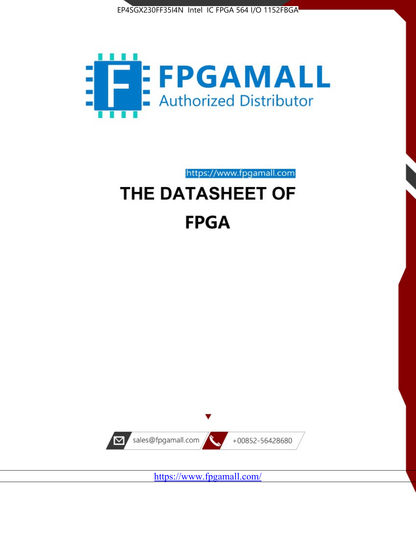



https://www.fpgamall.com

# THE DATASHEET OF **FPGA**



<https://www.fpgamall.com/>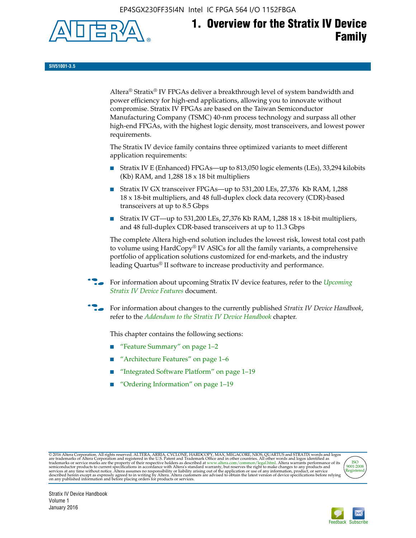EP4SGX230FF35I4N Intel IC FPGA 564 I/O 1152FBGA



# **1. Overview for the Stratix IV Device Family**

**SIV51001-3.5**

Altera® Stratix® IV FPGAs deliver a breakthrough level of system bandwidth and power efficiency for high-end applications, allowing you to innovate without compromise. Stratix IV FPGAs are based on the Taiwan Semiconductor Manufacturing Company (TSMC) 40-nm process technology and surpass all other high-end FPGAs, with the highest logic density, most transceivers, and lowest power requirements.

The Stratix IV device family contains three optimized variants to meet different application requirements:

- Stratix IV E (Enhanced) FPGAs—up to 813,050 logic elements (LEs), 33,294 kilobits (Kb) RAM, and 1,288 18 x 18 bit multipliers
- Stratix IV GX transceiver FPGAs—up to 531,200 LEs, 27,376 Kb RAM, 1,288 18 x 18-bit multipliers, and 48 full-duplex clock data recovery (CDR)-based transceivers at up to 8.5 Gbps
- Stratix IV GT—up to 531,200 LEs, 27,376 Kb RAM, 1,288 18 x 18-bit multipliers, and 48 full-duplex CDR-based transceivers at up to 11.3 Gbps

The complete Altera high-end solution includes the lowest risk, lowest total cost path to volume using HardCopy® IV ASICs for all the family variants, a comprehensive portfolio of application solutions customized for end-markets, and the industry leading Quartus® II software to increase productivity and performance.

f For information about upcoming Stratix IV device features, refer to the *[Upcoming](http://www.altera.com/literature/hb/stratix-iv/uf01001.pdf?GSA_pos=2&WT.oss_r=1&WT.oss=upcoming)  [Stratix IV Device Features](http://www.altera.com/literature/hb/stratix-iv/uf01001.pdf?GSA_pos=2&WT.oss_r=1&WT.oss=upcoming)* document.

f For information about changes to the currently published *Stratix IV Device Handbook*, refer to the *[Addendum to the Stratix IV Device Handbook](http://www.altera.com/literature/hb/stratix-iv/stx4_siv54002.pdf)* chapter.

This chapter contains the following sections:

- "Feature Summary" on page 1–2
- "Architecture Features" on page 1–6
- "Integrated Software Platform" on page 1–19
- "Ordering Information" on page 1–19

@2016 Altera Corporation. All rights reserved. ALTERA, ARRIA, CYCLONE, HARDCOPY, MAX, MEGACORE, NIOS, QUARTUS and STRATIX words and logos are trademarks of Altera Corporation and registered in the U.S. Patent and Trademark



Stratix IV Device Handbook Volume 1 January 2016

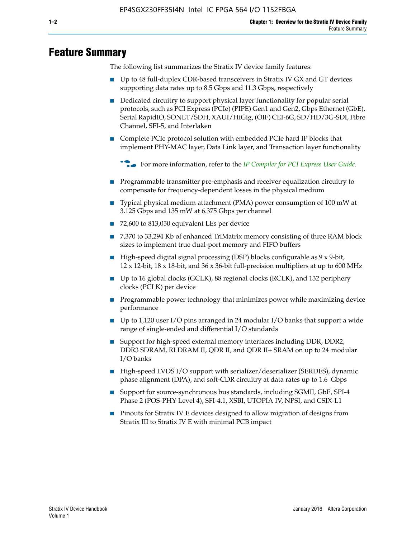# **Feature Summary**

The following list summarizes the Stratix IV device family features:

- Up to 48 full-duplex CDR-based transceivers in Stratix IV GX and GT devices supporting data rates up to 8.5 Gbps and 11.3 Gbps, respectively
- Dedicated circuitry to support physical layer functionality for popular serial protocols, such as PCI Express (PCIe) (PIPE) Gen1 and Gen2, Gbps Ethernet (GbE), Serial RapidIO, SONET/SDH, XAUI/HiGig, (OIF) CEI-6G, SD/HD/3G-SDI, Fibre Channel, SFI-5, and Interlaken
- Complete PCIe protocol solution with embedded PCIe hard IP blocks that implement PHY-MAC layer, Data Link layer, and Transaction layer functionality

**For more information, refer to the** *[IP Compiler for PCI Express User Guide](http://www.altera.com/literature/ug/ug_pci_express.pdf)***.** 

- Programmable transmitter pre-emphasis and receiver equalization circuitry to compensate for frequency-dependent losses in the physical medium
- Typical physical medium attachment (PMA) power consumption of 100 mW at 3.125 Gbps and 135 mW at 6.375 Gbps per channel
- 72,600 to 813,050 equivalent LEs per device
- 7,370 to 33,294 Kb of enhanced TriMatrix memory consisting of three RAM block sizes to implement true dual-port memory and FIFO buffers
- High-speed digital signal processing (DSP) blocks configurable as 9 x 9-bit,  $12 \times 12$ -bit,  $18 \times 18$ -bit, and  $36 \times 36$ -bit full-precision multipliers at up to 600 MHz
- Up to 16 global clocks (GCLK), 88 regional clocks (RCLK), and 132 periphery clocks (PCLK) per device
- Programmable power technology that minimizes power while maximizing device performance
- Up to 1,120 user I/O pins arranged in 24 modular I/O banks that support a wide range of single-ended and differential I/O standards
- Support for high-speed external memory interfaces including DDR, DDR2, DDR3 SDRAM, RLDRAM II, QDR II, and QDR II+ SRAM on up to 24 modular I/O banks
- High-speed LVDS I/O support with serializer/deserializer (SERDES), dynamic phase alignment (DPA), and soft-CDR circuitry at data rates up to 1.6 Gbps
- Support for source-synchronous bus standards, including SGMII, GbE, SPI-4 Phase 2 (POS-PHY Level 4), SFI-4.1, XSBI, UTOPIA IV, NPSI, and CSIX-L1
- Pinouts for Stratix IV E devices designed to allow migration of designs from Stratix III to Stratix IV E with minimal PCB impact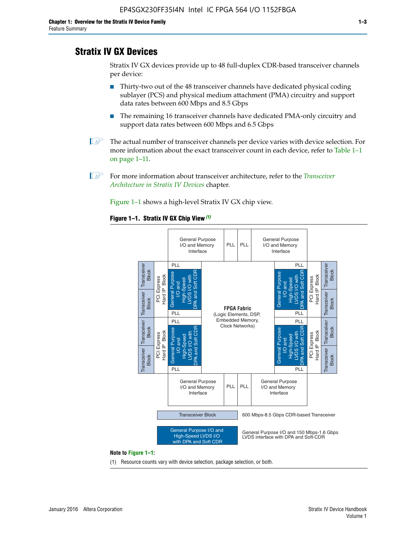# **Stratix IV GX Devices**

Stratix IV GX devices provide up to 48 full-duplex CDR-based transceiver channels per device:

- Thirty-two out of the 48 transceiver channels have dedicated physical coding sublayer (PCS) and physical medium attachment (PMA) circuitry and support data rates between 600 Mbps and 8.5 Gbps
- The remaining 16 transceiver channels have dedicated PMA-only circuitry and support data rates between 600 Mbps and 6.5 Gbps
- **1 The actual number of transceiver channels per device varies with device selection. For** more information about the exact transceiver count in each device, refer to Table 1–1 on page 1–11.
- 1 For more information about transceiver architecture, refer to the *[Transceiver](http://www.altera.com/literature/hb/stratix-iv/stx4_siv52001.pdf)  [Architecture in Stratix IV Devices](http://www.altera.com/literature/hb/stratix-iv/stx4_siv52001.pdf)* chapter.

Figure 1–1 shows a high-level Stratix IV GX chip view.

#### **Figure 1–1. Stratix IV GX Chip View** *(1)*



#### **Note to Figure 1–1:**

(1) Resource counts vary with device selection, package selection, or both.

Volume 1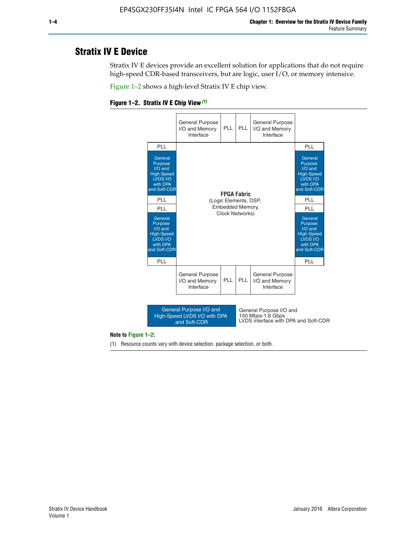# **Stratix IV E Device**

Stratix IV E devices provide an excellent solution for applications that do not require high-speed CDR-based transceivers, but are logic, user I/O, or memory intensive.

Figure 1–2 shows a high-level Stratix IV E chip view.





#### **Note to Figure 1–2:**

(1) Resource counts vary with device selection, package selection, or both.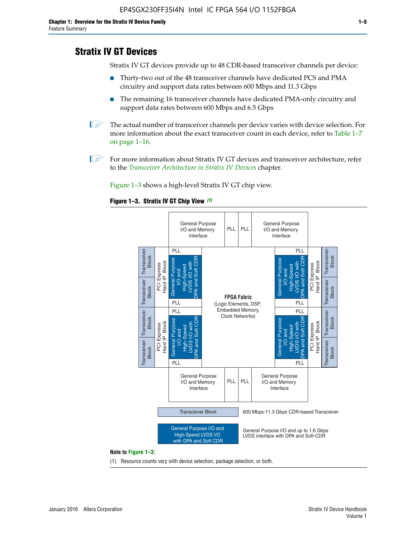# **Stratix IV GT Devices**

Stratix IV GT devices provide up to 48 CDR-based transceiver channels per device:

- Thirty-two out of the 48 transceiver channels have dedicated PCS and PMA circuitry and support data rates between 600 Mbps and 11.3 Gbps
- The remaining 16 transceiver channels have dedicated PMA-only circuitry and support data rates between 600 Mbps and 6.5 Gbps
- **1** The actual number of transceiver channels per device varies with device selection. For more information about the exact transceiver count in each device, refer to Table 1–7 on page 1–16.
- $\mathbb{I}$  For more information about Stratix IV GT devices and transceiver architecture, refer to the *[Transceiver Architecture in Stratix IV Devices](http://www.altera.com/literature/hb/stratix-iv/stx4_siv52001.pdf)* chapter.

Figure 1–3 shows a high-level Stratix IV GT chip view.





(1) Resource counts vary with device selection, package selection, or both.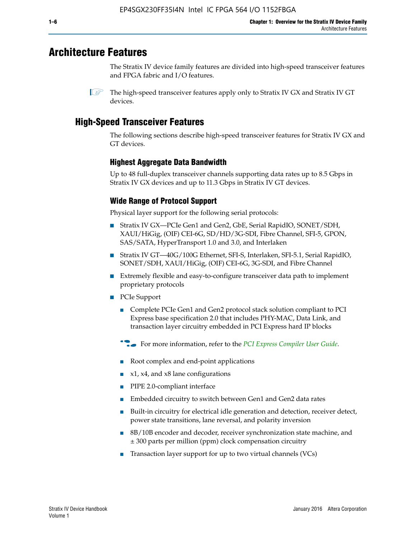# **Architecture Features**

The Stratix IV device family features are divided into high-speed transceiver features and FPGA fabric and I/O features.

 $\mathbb{I}$  The high-speed transceiver features apply only to Stratix IV GX and Stratix IV GT devices.

# **High-Speed Transceiver Features**

The following sections describe high-speed transceiver features for Stratix IV GX and GT devices.

## **Highest Aggregate Data Bandwidth**

Up to 48 full-duplex transceiver channels supporting data rates up to 8.5 Gbps in Stratix IV GX devices and up to 11.3 Gbps in Stratix IV GT devices.

## **Wide Range of Protocol Support**

Physical layer support for the following serial protocols:

- Stratix IV GX—PCIe Gen1 and Gen2, GbE, Serial RapidIO, SONET/SDH, XAUI/HiGig, (OIF) CEI-6G, SD/HD/3G-SDI, Fibre Channel, SFI-5, GPON, SAS/SATA, HyperTransport 1.0 and 3.0, and Interlaken
- Stratix IV GT—40G/100G Ethernet, SFI-S, Interlaken, SFI-5.1, Serial RapidIO, SONET/SDH, XAUI/HiGig, (OIF) CEI-6G, 3G-SDI, and Fibre Channel
- Extremely flexible and easy-to-configure transceiver data path to implement proprietary protocols
- PCIe Support
	- Complete PCIe Gen1 and Gen2 protocol stack solution compliant to PCI Express base specification 2.0 that includes PHY-MAC, Data Link, and transaction layer circuitry embedded in PCI Express hard IP blocks
	- **For more information, refer to the [PCI Express Compiler User Guide](http://www.altera.com/literature/ug/ug_pci_express.pdf).**
	- Root complex and end-point applications
	- $x1, x4,$  and  $x8$  lane configurations
	- PIPE 2.0-compliant interface
	- Embedded circuitry to switch between Gen1 and Gen2 data rates
	- Built-in circuitry for electrical idle generation and detection, receiver detect, power state transitions, lane reversal, and polarity inversion
	- 8B/10B encoder and decoder, receiver synchronization state machine, and ± 300 parts per million (ppm) clock compensation circuitry
	- Transaction layer support for up to two virtual channels (VCs)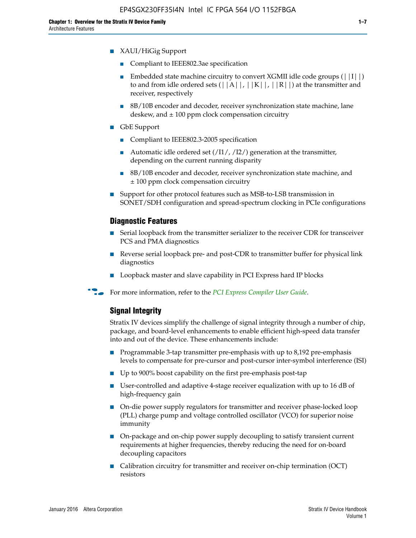- XAUI/HiGig Support
	- Compliant to IEEE802.3ae specification
	- **■** Embedded state machine circuitry to convert XGMII idle code groups  $(|11|)$ to and from idle ordered sets  $(|A|, |K|, |R|)$  at the transmitter and receiver, respectively
	- 8B/10B encoder and decoder, receiver synchronization state machine, lane deskew, and  $\pm 100$  ppm clock compensation circuitry
- GbE Support
	- Compliant to IEEE802.3-2005 specification
	- Automatic idle ordered set  $(111/112/1)$  generation at the transmitter, depending on the current running disparity
	- 8B/10B encoder and decoder, receiver synchronization state machine, and ± 100 ppm clock compensation circuitry
- Support for other protocol features such as MSB-to-LSB transmission in SONET/SDH configuration and spread-spectrum clocking in PCIe configurations

#### **Diagnostic Features**

- Serial loopback from the transmitter serializer to the receiver CDR for transceiver PCS and PMA diagnostics
- Reverse serial loopback pre- and post-CDR to transmitter buffer for physical link diagnostics
- Loopback master and slave capability in PCI Express hard IP blocks
- **For more information, refer to the** *[PCI Express Compiler User Guide](http://www.altera.com/literature/ug/ug_pci_express.pdf)***.**

#### **Signal Integrity**

Stratix IV devices simplify the challenge of signal integrity through a number of chip, package, and board-level enhancements to enable efficient high-speed data transfer into and out of the device. These enhancements include:

- Programmable 3-tap transmitter pre-emphasis with up to 8,192 pre-emphasis levels to compensate for pre-cursor and post-cursor inter-symbol interference (ISI)
- Up to 900% boost capability on the first pre-emphasis post-tap
- User-controlled and adaptive 4-stage receiver equalization with up to 16 dB of high-frequency gain
- On-die power supply regulators for transmitter and receiver phase-locked loop (PLL) charge pump and voltage controlled oscillator (VCO) for superior noise immunity
- On-package and on-chip power supply decoupling to satisfy transient current requirements at higher frequencies, thereby reducing the need for on-board decoupling capacitors
- Calibration circuitry for transmitter and receiver on-chip termination (OCT) resistors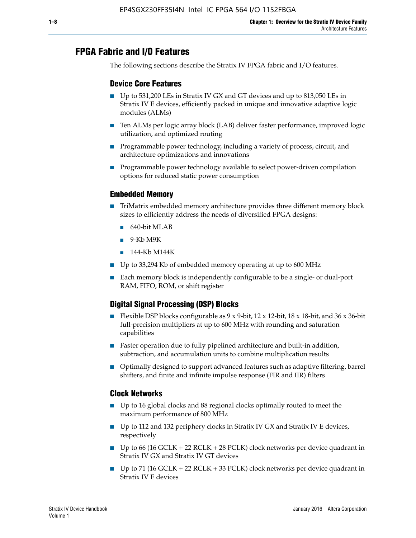# **FPGA Fabric and I/O Features**

The following sections describe the Stratix IV FPGA fabric and I/O features.

## **Device Core Features**

- Up to 531,200 LEs in Stratix IV GX and GT devices and up to 813,050 LEs in Stratix IV E devices, efficiently packed in unique and innovative adaptive logic modules (ALMs)
- Ten ALMs per logic array block (LAB) deliver faster performance, improved logic utilization, and optimized routing
- Programmable power technology, including a variety of process, circuit, and architecture optimizations and innovations
- Programmable power technology available to select power-driven compilation options for reduced static power consumption

#### **Embedded Memory**

- TriMatrix embedded memory architecture provides three different memory block sizes to efficiently address the needs of diversified FPGA designs:
	- 640-bit MLAB
	- 9-Kb M9K
	- 144-Kb M144K
- Up to 33,294 Kb of embedded memory operating at up to 600 MHz
- Each memory block is independently configurable to be a single- or dual-port RAM, FIFO, ROM, or shift register

## **Digital Signal Processing (DSP) Blocks**

- Flexible DSP blocks configurable as  $9 \times 9$ -bit,  $12 \times 12$ -bit,  $18 \times 18$ -bit, and  $36 \times 36$ -bit full-precision multipliers at up to 600 MHz with rounding and saturation capabilities
- Faster operation due to fully pipelined architecture and built-in addition, subtraction, and accumulation units to combine multiplication results
- Optimally designed to support advanced features such as adaptive filtering, barrel shifters, and finite and infinite impulse response (FIR and IIR) filters

#### **Clock Networks**

- Up to 16 global clocks and 88 regional clocks optimally routed to meet the maximum performance of 800 MHz
- Up to 112 and 132 periphery clocks in Stratix IV GX and Stratix IV E devices, respectively
- Up to 66 (16 GCLK + 22 RCLK + 28 PCLK) clock networks per device quadrant in Stratix IV GX and Stratix IV GT devices
- Up to 71 (16 GCLK + 22 RCLK + 33 PCLK) clock networks per device quadrant in Stratix IV E devices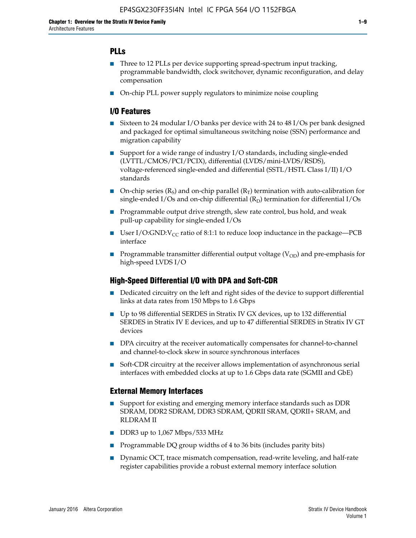## **PLLs**

- Three to 12 PLLs per device supporting spread-spectrum input tracking, programmable bandwidth, clock switchover, dynamic reconfiguration, and delay compensation
- On-chip PLL power supply regulators to minimize noise coupling

### **I/O Features**

- Sixteen to 24 modular I/O banks per device with 24 to 48 I/Os per bank designed and packaged for optimal simultaneous switching noise (SSN) performance and migration capability
- Support for a wide range of industry I/O standards, including single-ended (LVTTL/CMOS/PCI/PCIX), differential (LVDS/mini-LVDS/RSDS), voltage-referenced single-ended and differential (SSTL/HSTL Class I/II) I/O standards
- **O**n-chip series  $(R_S)$  and on-chip parallel  $(R_T)$  termination with auto-calibration for single-ended I/Os and on-chip differential  $(R_D)$  termination for differential I/Os
- Programmable output drive strength, slew rate control, bus hold, and weak pull-up capability for single-ended I/Os
- User I/O:GND: $V_{CC}$  ratio of 8:1:1 to reduce loop inductance in the package—PCB interface
- **■** Programmable transmitter differential output voltage ( $V_{OD}$ ) and pre-emphasis for high-speed LVDS I/O

#### **High-Speed Differential I/O with DPA and Soft-CDR**

- Dedicated circuitry on the left and right sides of the device to support differential links at data rates from 150 Mbps to 1.6 Gbps
- Up to 98 differential SERDES in Stratix IV GX devices, up to 132 differential SERDES in Stratix IV E devices, and up to 47 differential SERDES in Stratix IV GT devices
- DPA circuitry at the receiver automatically compensates for channel-to-channel and channel-to-clock skew in source synchronous interfaces
- Soft-CDR circuitry at the receiver allows implementation of asynchronous serial interfaces with embedded clocks at up to 1.6 Gbps data rate (SGMII and GbE)

#### **External Memory Interfaces**

- Support for existing and emerging memory interface standards such as DDR SDRAM, DDR2 SDRAM, DDR3 SDRAM, QDRII SRAM, QDRII+ SRAM, and RLDRAM II
- DDR3 up to 1,067 Mbps/533 MHz
- Programmable DQ group widths of 4 to 36 bits (includes parity bits)
- Dynamic OCT, trace mismatch compensation, read-write leveling, and half-rate register capabilities provide a robust external memory interface solution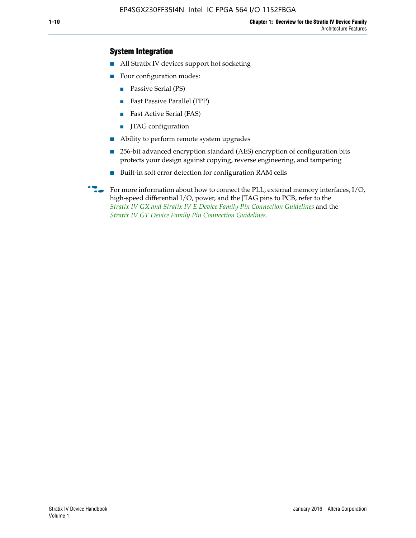## **System Integration**

- All Stratix IV devices support hot socketing
- Four configuration modes:
	- Passive Serial (PS)
	- Fast Passive Parallel (FPP)
	- Fast Active Serial (FAS)
	- JTAG configuration
- Ability to perform remote system upgrades
- 256-bit advanced encryption standard (AES) encryption of configuration bits protects your design against copying, reverse engineering, and tampering
- Built-in soft error detection for configuration RAM cells
- For more information about how to connect the PLL, external memory interfaces,  $I/O$ , high-speed differential I/O, power, and the JTAG pins to PCB, refer to the *[Stratix IV GX and Stratix IV E Device Family Pin Connection Guidelines](http://www.altera.com/literature/dp/stratix4/PCG-01005.pdf)* and the *[Stratix IV GT Device Family Pin Connection Guidelines](http://www.altera.com/literature/dp/stratix4/PCG-01006.pdf)*.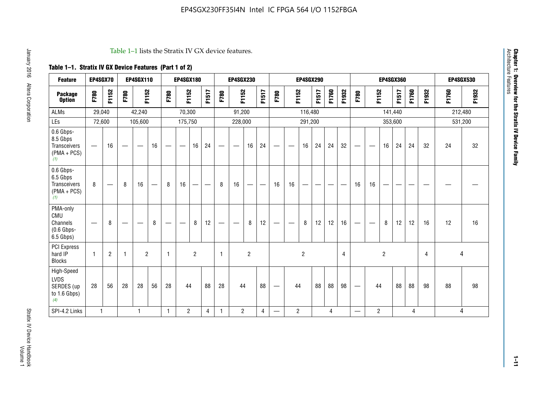#### Table 1–1 lists the Stratix IV GX device features.

## **Table 1–1. Stratix IV GX Device Features (Part 1 of 2)**

| <b>Feature</b>                                                       | EP4SGX70     |                               |      | <b>EP4SGX110</b>  |                   |      | <b>EP4SGX180</b>                |                |       |                                 | <b>EP4SGX230</b>              |                |                                   |                                 |                | <b>EP4SGX290</b>         |                          |       |                |                          |                                |                | <b>EP4SGX360</b> |       |                |       | <b>EP4SGX530</b> |
|----------------------------------------------------------------------|--------------|-------------------------------|------|-------------------|-------------------|------|---------------------------------|----------------|-------|---------------------------------|-------------------------------|----------------|-----------------------------------|---------------------------------|----------------|--------------------------|--------------------------|-------|----------------|--------------------------|--------------------------------|----------------|------------------|-------|----------------|-------|------------------|
| <b>Package</b><br><b>Option</b>                                      | F780         | F1152                         | F780 | F1152             |                   | F780 | F1152                           |                | F1517 | F780                            | F1152                         |                | F1517                             | F780                            | F1152          |                          | F1517                    | F1760 | F1932          | F780                     | F1152                          |                | F1517            | F1760 | F1932          | F1760 | F1932            |
| <b>ALMs</b>                                                          | 29,040       |                               |      | 42,240            |                   |      | 70,300                          |                |       |                                 | 91,200                        |                |                                   |                                 |                | 116,480                  |                          |       |                |                          |                                | 141,440        |                  |       |                |       | 212,480          |
| LEs                                                                  | 72,600       |                               |      | 105,600           |                   |      | 175,750                         |                |       |                                 | 228,000                       |                |                                   |                                 |                | 291,200                  |                          |       |                |                          |                                |                | 353,600          |       |                |       | 531,200          |
| 0.6 Gbps-<br>8.5 Gbps<br>Transceivers<br>$(PMA + PCs)$<br>(1)        | —            | 16                            |      | $\hspace{0.05cm}$ | 16                | —    | $\hspace{0.1mm}-\hspace{0.1mm}$ | 16             | 24    | $\hspace{0.1mm}-\hspace{0.1mm}$ | $\overbrace{\phantom{aaaaa}}$ | 16             | 24                                | $\hspace{0.05cm}$               |                | 16                       | 24                       | 24    | 32             |                          | $\overbrace{\phantom{aaaaa}}$  | 16             | 24               | 24    | 32             | 24    | 32               |
| 0.6 Gbps-<br>6.5 Gbps<br><b>Transceivers</b><br>$(PMA + PCs)$<br>(1) | 8            | $\overbrace{\phantom{aaaaa}}$ | 8    | 16                | $\qquad \qquad -$ | 8    | 16                              | -              | —     | 8                               | 16                            | —              | $\overbrace{\phantom{123221111}}$ | 16                              | 16             | $\overline{\phantom{0}}$ | $\overline{\phantom{0}}$ |       |                | 16                       | 16                             | —              |                  |       |                |       |                  |
| PMA-only<br>CMU<br>Channels<br>$(0.6$ Gbps-<br>6.5 Gbps)             |              | 8                             |      |                   | 8                 | —    | —                               | 8              | 12    |                                 | $\overline{\phantom{m}}$      | 8              | 12                                | $\hspace{0.1mm}-\hspace{0.1mm}$ | -              | 8                        | 12                       | 12    | 16             |                          | $\qquad \qquad \longleftarrow$ | 8              | 12               | 12    | 16             | 12    | 16               |
| PCI Express<br>hard IP<br><b>Blocks</b>                              | $\mathbf{1}$ | $\overline{c}$                | -1   | $\overline{2}$    |                   | 1    |                                 | $\overline{2}$ |       | $\mathbf{1}$                    |                               | $\overline{c}$ |                                   |                                 |                | $\overline{2}$           |                          |       | $\overline{4}$ |                          |                                | $\overline{c}$ |                  |       | $\overline{4}$ | 4     |                  |
| High-Speed<br><b>LVDS</b><br>SERDES (up<br>to 1.6 Gbps)<br>(4)       | 28           | 56                            | 28   | 28                | 56                | 28   | 44                              |                | 88    | 28                              | 44                            |                | 88                                | —                               | 44             |                          | 88                       | 88    | 98             |                          | 44                             |                | 88               | 88    | 98             | 88    | 98               |
| SPI-4.2 Links                                                        | $\mathbf{1}$ |                               |      | 1                 |                   | 1    | $\overline{c}$                  |                | 4     | 1                               | $\overline{2}$                |                | 4                                 | —                               | $\overline{c}$ |                          |                          | 4     |                | $\overline{\phantom{0}}$ | 2                              |                |                  | 4     |                |       | 4                |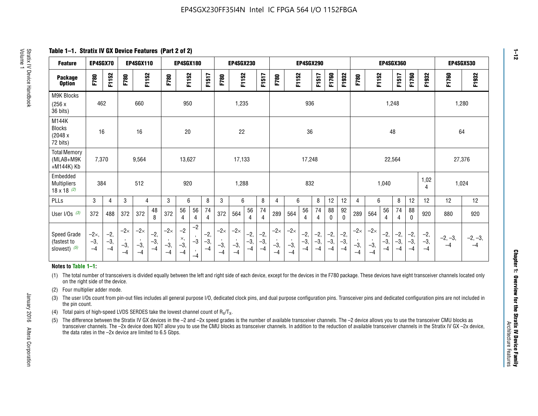**Table 1–1. Stratix IV GX Device Features (Part 2 of 2)**

| <b>Feature</b>                                       | EP4SGX70                |                        |                             | <b>EP4SGX110</b>            |                      |                             | <b>EP4SGX180</b>          |                      |                        |                             | <b>EP4SGX230</b>            |                      |                      |                            |                             | EP4SGX290              |                      |                      |                        |                             |                             |                        | <b>EP4SGX360</b>      |                      |                        | <b>EP4SGX530</b>  |                 |
|------------------------------------------------------|-------------------------|------------------------|-----------------------------|-----------------------------|----------------------|-----------------------------|---------------------------|----------------------|------------------------|-----------------------------|-----------------------------|----------------------|----------------------|----------------------------|-----------------------------|------------------------|----------------------|----------------------|------------------------|-----------------------------|-----------------------------|------------------------|-----------------------|----------------------|------------------------|-------------------|-----------------|
| <b>Package</b><br><b>Option</b>                      | F780                    | F1152                  | F780                        | F1152                       |                      | F780                        | F1152                     |                      | F1517                  | F780                        | F1152                       |                      | F1517                | F780                       | F1152                       |                        | F1517                | F1760                | F1932                  | F780                        | F1152                       |                        | F1517                 | F1760                | F1932                  | F1760             | F1932           |
| M9K Blocks<br>(256x)<br>36 bits)                     | 462                     |                        |                             | 660                         |                      |                             | 950                       |                      |                        |                             | 1,235                       |                      |                      |                            |                             | 936                    |                      |                      |                        |                             |                             | 1,248                  |                       |                      |                        |                   | 1,280           |
| M144K<br><b>Blocks</b><br>(2048 x<br>72 bits)        | 16                      |                        |                             | 16                          |                      |                             | 20                        |                      |                        |                             | 22                          |                      |                      |                            |                             | 36                     |                      |                      |                        |                             |                             | 48                     |                       |                      |                        | 64                |                 |
| <b>Total Memory</b><br>(MLAB+M9K<br>+M144K) Kb       | 7,370                   |                        |                             | 9,564                       |                      |                             | 13,627                    |                      |                        |                             | 17,133                      |                      |                      |                            |                             | 17,248                 |                      |                      |                        |                             |                             | 22,564                 |                       |                      |                        | 27,376            |                 |
| Embedded<br><b>Multipliers</b><br>$18 \times 18$ (2) | 384                     |                        |                             | 512                         |                      |                             | 920                       |                      |                        |                             | 1,288                       |                      |                      |                            |                             | 832                    |                      |                      |                        |                             |                             | 1,040                  |                       |                      | 1,02<br>4              | 1,024             |                 |
| PLLs                                                 | 3                       | $\overline{4}$         | 3                           | 4                           |                      | 3                           | 6                         |                      | 8                      | 3                           | 6                           |                      | 8                    | 4                          | 6                           |                        | 8                    | 12                   | 12                     | 4                           | 6                           |                        | 8                     | 12                   | 12                     | 12                | 12              |
| User $I/Os$ (3)                                      | 372                     | 488                    | 372                         | 372                         | 48<br>8              | 372                         | 56<br>4                   | 56<br>4              | 74<br>4                | 372                         | 564                         | 56<br>$\overline{4}$ | 74<br>$\overline{4}$ | 289                        | 564                         | 56<br>4                | 74<br>4              | 88<br>0              | 92<br>$\mathbf 0$      | 289                         | 564                         | 56<br>4                | 74<br>4               | 88<br>$\mathbf{0}$   | 920                    | 880               | 920             |
| Speed Grade<br>(fastest to<br>slowest) (5)           | $-2x,$<br>$-3,$<br>$-4$ | $-2,$<br>$-3,$<br>$-4$ | $-2\times$<br>$-3,$<br>$-4$ | $-2\times$<br>$-3,$<br>$-4$ | $-2,$<br>-3,<br>$-4$ | $-2\times$<br>$-3,$<br>$-4$ | $-2$<br>×,<br>$-3,$<br>-4 | $-2$<br>$-3$<br>$-4$ | $-2,$<br>$-3,$<br>$-4$ | $-2\times$<br>$-3,$<br>$-4$ | $-2\times$<br>$-3,$<br>$-4$ | $-2,$<br>-3,<br>$-4$ | $-2,$<br>-3,<br>$-4$ | $-2\times$<br>$-3$<br>$-4$ | $-2\times$<br>$-3,$<br>$-4$ | $-2,$<br>$-3,$<br>$-4$ | $-2,$<br>-3,<br>$-4$ | $-2,$<br>-3,<br>$-4$ | $-2,$<br>$-3,$<br>$-4$ | $-2\times$<br>$-3,$<br>$-4$ | $-2\times$<br>$-3,$<br>$-4$ | $-2,$<br>$-3,$<br>$-4$ | $-2,$<br>$-3$<br>$-4$ | $-2,$<br>-3,<br>$-4$ | $-2,$<br>$-3,$<br>$-4$ | $-2, -3,$<br>$-4$ | $-2, -3,$<br>-4 |

#### **Notes to Table 1–1:**

(1) The total number of transceivers is divided equally between the left and right side of each device, except for the devices in the F780 package. These devices have eight transceiver channels located only on the right side of the device.

- (2) Four multiplier adder mode.
- (3) The user I/Os count from pin-out files includes all general purpose I/O, dedicated clock pins, and dual purpose configuration pins. Transceiver pins and dedicated configuration pins are not included in the pin count.
- (4) Total pairs of high-speed LVDS SERDES take the lowest channel count of  $R_X/T_X$ .
- (5) The difference between the Stratix IV GX devices in the –2 and –2x speed grades is the number of available transceiver channels. The –2 device allows you to use the transceiver CMU blocks as transceiver channels. The –2x device does NOT allow you to use the CMU blocks as transceiver channels. In addition to the reduction of available transceiver channels in the Stratix IV GX –2x device, the data rates in the –2x device are limited to 6.5 Gbps.

**1–12**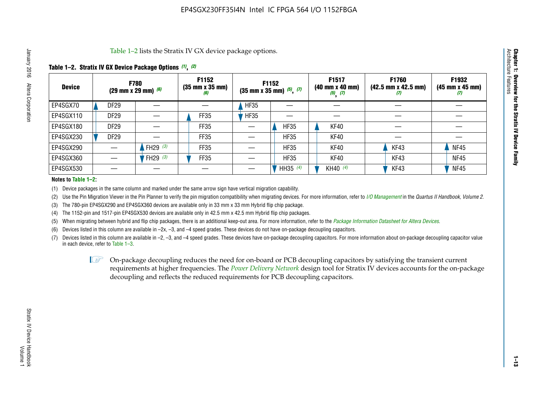Table 1–2 lists the Stratix IV GX device package options.

#### **Table 1–2. Stratix IV GX Device Package Options** *(1)***,** *(2)*

| <b>Device</b> |                  | <b>F780</b><br>(29 mm x 29 mm) $(6)$ | F1152<br>$(35 \, \text{mm} \times 35 \, \text{mm})$<br>(6) |             | <b>F1152</b><br>$(35$ mm x 35 mm) $(5)$ , $(7)$ | F1517<br>(40 mm x 40 mm)<br>$(5)$ $(7)$ | F1760<br>$(42.5 \text{ mm} \times 42.5 \text{ mm})$<br>Ш | F1932<br>$(45 \, \text{mm} \times 45 \, \text{mm})$<br>(7) |
|---------------|------------------|--------------------------------------|------------------------------------------------------------|-------------|-------------------------------------------------|-----------------------------------------|----------------------------------------------------------|------------------------------------------------------------|
| EP4SGX70      | <b>DF29</b>      |                                      |                                                            | <b>HF35</b> |                                                 |                                         |                                                          |                                                            |
| EP4SGX110     | <b>DF29</b>      |                                      | FF35                                                       | <b>HF35</b> |                                                 |                                         |                                                          |                                                            |
| EP4SGX180     | DF <sub>29</sub> |                                      | FF35                                                       |             | <b>HF35</b>                                     | KF40                                    |                                                          |                                                            |
| EP4SGX230     | <b>DF29</b>      |                                      | FF35                                                       |             | <b>HF35</b>                                     | KF40                                    |                                                          |                                                            |
| EP4SGX290     |                  | FH29 $(3)$                           | <b>FF35</b>                                                |             | <b>HF35</b>                                     | KF40                                    | KF43                                                     | <b>NF45</b>                                                |
| EP4SGX360     |                  | FH29 $(3)$                           | FF35                                                       |             | <b>HF35</b>                                     | KF40                                    | KF43                                                     | <b>NF45</b>                                                |
| EP4SGX530     |                  |                                      |                                                            |             | HH35 $(4)$                                      | KH40 (4)                                | KF43                                                     | <b>NF45</b>                                                |

#### **Notes to Table 1–2:**

(1) Device packages in the same column and marked under the same arrow sign have vertical migration capability.

(2) Use the Pin Migration Viewer in the Pin Planner to verify the pin migration compatibility when migrating devices. For more information, refer to *[I/O Management](http://www.altera.com/literature/hb/qts/qts_qii52013.pdf)* in the *Quartus II Handbook, Volume 2*.

(3) The 780-pin EP4SGX290 and EP4SGX360 devices are available only in 33 mm x 33 mm Hybrid flip chip package.

(4) The 1152-pin and 1517-pin EP4SGX530 devices are available only in 42.5 mm x 42.5 mm Hybrid flip chip packages.

(5) When migrating between hybrid and flip chip packages, there is an additional keep-out area. For more information, refer to the *[Package Information Datasheet for Altera Devices](http://www.altera.com/literature/ds/dspkg.pdf)*.

(6) Devices listed in this column are available in –2x, –3, and –4 speed grades. These devices do not have on-package decoupling capacitors.

(7) Devices listed in this column are available in –2, –3, and –4 speed grades. These devices have on-package decoupling capacitors. For more information about on-package decoupling capacitor value in each device, refer to Table 1–3.

 $\mathbb{L}$ s On-package decoupling reduces the need for on-board or PCB decoupling capacitors by satisfying the transient current requirements at higher frequencies. The *[Power Delivery Network](http://www.altera.com/literature/ug/pdn_tool_stxiv.zip)* design tool for Stratix IV devices accounts for the on-package decoupling and reflects the reduced requirements for PCB decoupling capacitors.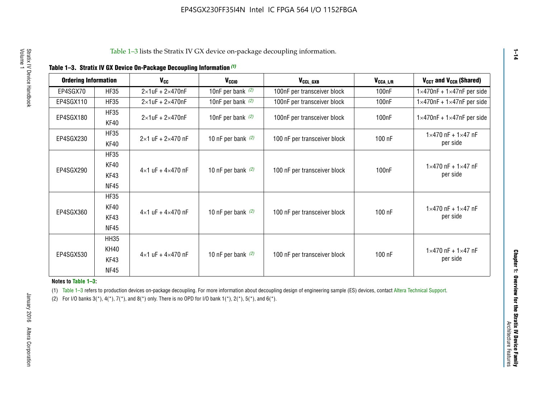|  |  | Table 1-3. Stratix IV GX Device On-Package Decoupling Information (1) |  |  |
|--|--|-----------------------------------------------------------------------|--|--|
|--|--|-----------------------------------------------------------------------|--|--|

| <b>Ordering Information</b> |                     | <b>V<sub>cc</sub></b>               | V <sub>ccio</sub>    | V <sub>CCL GXB</sub>         | V <sub>CCA_L/R</sub> | V <sub>CCT</sub> and V <sub>CCR</sub> (Shared)   |
|-----------------------------|---------------------|-------------------------------------|----------------------|------------------------------|----------------------|--------------------------------------------------|
| EP4SGX70                    | <b>HF35</b>         | $2\times1$ uF + $2\times470$ nF     | 10nF per bank $(2)$  | 100nF per transceiver block  | 100 <sub>n</sub> F   | $1 \times 470$ nF + $1 \times 47$ nF per side    |
| EP4SGX110                   | <b>HF35</b>         | $2\times1$ uF + $2\times470$ nF     | 10nF per bank $(2)$  | 100nF per transceiver block  | 100 <sub>n</sub> F   | $1\times470$ nF + $1\times47$ nF per side        |
| EP4SGX180                   | <b>HF35</b><br>KF40 | $2\times1$ uF + $2\times470$ nF     | 10nF per bank $(2)$  | 100nF per transceiver block  | 100 <sub>nF</sub>    | $1 \times 470$ nF + $1 \times 47$ nF per side    |
| EP4SGX230                   | <b>HF35</b><br>KF40 | $2 \times 1$ uF + $2 \times 470$ nF | 10 nF per bank $(2)$ | 100 nF per transceiver block | 100 nF               | $1 \times 470$ nF + $1 \times 47$ nF<br>per side |
|                             | <b>HF35</b><br>KF40 |                                     |                      |                              |                      | $1 \times 470$ nF + $1 \times 47$ nF             |
| EP4SGX290                   | KF43<br><b>NF45</b> | $4 \times 1$ uF + $4 \times 470$ nF | 10 nF per bank $(2)$ | 100 nF per transceiver block | 100nF                | per side                                         |
|                             | <b>HF35</b><br>KF40 |                                     |                      |                              |                      | $1 \times 470$ nF + $1 \times 47$ nF             |
| EP4SGX360                   | KF43<br><b>NF45</b> | $4 \times 1$ uF + $4 \times 470$ nF | 10 nF per bank $(2)$ | 100 nF per transceiver block | 100 nF               | per side                                         |
|                             | <b>HH35</b>         |                                     |                      |                              |                      |                                                  |
| EP4SGX530                   | <b>KH40</b><br>KF43 | $4 \times 1$ uF + $4 \times 470$ nF | 10 nF per bank $(2)$ | 100 nF per transceiver block | 100 nF               | $1 \times 470$ nF + $1 \times 47$ nF<br>per side |
|                             | <b>NF45</b>         |                                     |                      |                              |                      |                                                  |

**Notes to Table 1–3:**

(1) Table 1-3 refers to production devices on-package decoupling. For more information about decoupling design of engineering sample (ES) devices, contact [Altera Technical Support](http://mysupport.altera.com/eservice/login.asp).

(2) For I/O banks  $3(*)$ ,  $4(*)$ ,  $7(*)$ , and  $8(*)$  only. There is no OPD for I/O bank  $1(*)$ ,  $2(*)$ ,  $5(*)$ , and  $6(*)$ .

**1–14**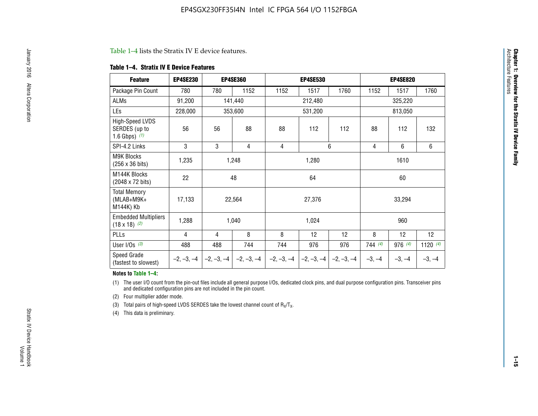#### Table 1–4 lists the Stratix IV E device features.

#### **Table 1–4. Stratix IV E Device Features**

| <b>Feature</b>                                      | <b>EP4SE230</b> |     | <b>EP4SE360</b>                        |              | <b>EP4SE530</b> |              |          | <b>EP4SE820</b> |            |  |
|-----------------------------------------------------|-----------------|-----|----------------------------------------|--------------|-----------------|--------------|----------|-----------------|------------|--|
| Package Pin Count                                   | 780             | 780 | 1152                                   | 1152         | 1517            | 1760         | 1152     | 1517            | 1760       |  |
| ALMs                                                | 91,200          |     | 141,440                                |              | 212,480         |              |          | 325,220         |            |  |
| LEs                                                 | 228,000         |     | 353,600                                |              | 531,200         |              |          | 813,050         |            |  |
| High-Speed LVDS<br>SERDES (up to<br>1.6 Gbps) $(1)$ | 56              | 56  | 88                                     | 88           | 112             | 112          | 88       | 112             | 132        |  |
| SPI-4.2 Links                                       | 3               | 3   | 4                                      | 4            |                 | 6            | 4        | 6               | 6          |  |
| <b>M9K Blocks</b><br>(256 x 36 bits)                | 1,235           |     | 1,248                                  |              | 1,280           |              |          | 1610            |            |  |
| M144K Blocks<br>(2048 x 72 bits)                    | 22              |     | 48                                     |              | 64              |              |          | 60              |            |  |
| <b>Total Memory</b><br>$(MLAB+M9K+$<br>M144K) Kb    | 17,133          |     | 22,564                                 |              | 27,376          |              |          | 33,294          |            |  |
| <b>Embedded Multipliers</b><br>$(18 \times 18)$ (2) | 1,288           |     | 1,040                                  |              | 1,024           |              |          | 960             |            |  |
| PLLs                                                | 4               | 4   | 8                                      | 8            | 12              | 12           | 8        | 12              | 12         |  |
| User I/Os $(3)$                                     | 488             | 488 | 744                                    | 744          | 976             | 976          | 744(4)   | 976 (4)         | 1120 $(4)$ |  |
| Speed Grade<br>(fastest to slowest)                 |                 |     | $-2, -3, -4$ $-2, -3, -4$ $-2, -3, -4$ | $-2, -3, -4$ | $-2, -3, -4$    | $-2, -3, -4$ | $-3, -4$ | $-3, -4$        | $-3, -4$   |  |

#### **Notes to Table 1–4:**

(1) The user I/O count from the pin-out files include all general purpose I/Os, dedicated clock pins, and dual purpose configuration pins. Transceiver pins and dedicated configuration pins are not included in the pin count.

(2) Four multiplier adder mode.

(3) Total pairs of high-speed LVDS SERDES take the lowest channel count of  $R_X/T_X$ .

(4) This data is preliminary.

**Chapter 1: Overview for the Stratix IV Device Family**

**Chapter 1: Overview for the Stratix IV Device Family**<br>Architecture Faatures

Architecture Features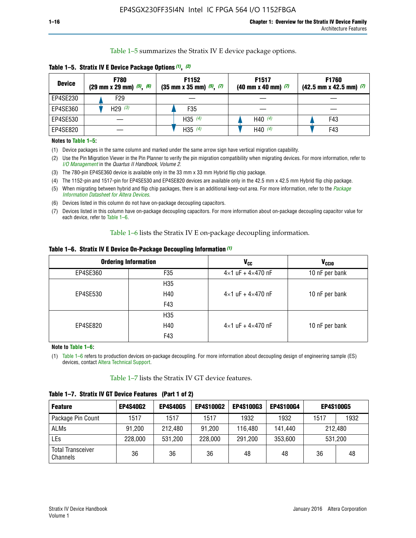Table 1–5 summarizes the Stratix IV E device package options.

| <b>Device</b> | <b>F780</b><br>$(29 \text{ mm} \times 29 \text{ mm})$ $(5)$ , $(6)$ | F1152<br>$(35 \text{ mm} \times 35 \text{ mm})$ $(5)$ $(7)$ | F <sub>1517</sub><br>$(40 \text{ mm} \times 40 \text{ mm})$ (7) | <b>F1760</b><br>$(42.5$ mm x 42.5 mm) $(7)$ |
|---------------|---------------------------------------------------------------------|-------------------------------------------------------------|-----------------------------------------------------------------|---------------------------------------------|
| EP4SE230      | F <sub>29</sub>                                                     |                                                             |                                                                 |                                             |
| EP4SE360      | H29 $(3)$                                                           | F35                                                         |                                                                 |                                             |
| EP4SE530      |                                                                     | H35 $(4)$                                                   | H40 $(4)$                                                       | F43                                         |
| EP4SE820      |                                                                     | H35 $(4)$                                                   | H40 $(4)$                                                       | F43                                         |

**Table 1–5. Stratix IV E Device Package Options** *(1)***,** *(2)*

#### **Notes to Table 1–5:**

(1) Device packages in the same column and marked under the same arrow sign have vertical migration capability.

(2) Use the Pin Migration Viewer in the Pin Planner to verify the pin migration compatibility when migrating devices. For more information, refer to *[I/O Management](http://www.altera.com/literature/hb/qts/qts_qii52013.pdf)* in the *Quartus II Handbook, Volume 2*.

(3) The 780-pin EP4SE360 device is available only in the 33 mm x 33 mm Hybrid flip chip package.

(4) The 1152-pin and 1517-pin for EP4SE530 and EP4SE820 devices are available only in the 42.5 mm x 42.5 mm Hybrid flip chip package.

(5) When migrating between hybrid and flip chip packages, there is an additional keep-out area. For more information, refer to the *[Package](http://www.altera.com/literature/ds/dspkg.pdf)  [Information Datasheet for Altera Devices](http://www.altera.com/literature/ds/dspkg.pdf)*.

(6) Devices listed in this column do not have on-package decoupling capacitors.

(7) Devices listed in this column have on-package decoupling capacitors. For more information about on-package decoupling capacitor value for each device, refer to Table 1–6.

Table 1–6 lists the Stratix IV E on-package decoupling information.

| Table 1–6. Stratix IV E Device On-Package Decoupling Information (1) |  |  |  |  |  |
|----------------------------------------------------------------------|--|--|--|--|--|
|----------------------------------------------------------------------|--|--|--|--|--|

|          | <b>Ordering Information</b> | V <sub>cc</sub>                     | <b>V<sub>CCIO</sub></b> |
|----------|-----------------------------|-------------------------------------|-------------------------|
| EP4SE360 | F <sub>35</sub>             | $4 \times 1$ uF + $4 \times 470$ nF | 10 nF per bank          |
|          | H35                         |                                     |                         |
| EP4SE530 | H40                         | $4\times1$ uF + $4\times470$ nF     | 10 nF per bank          |
|          | F43                         |                                     |                         |
|          | H35                         |                                     |                         |
| EP4SE820 | H40                         | $4\times1$ uF + $4\times470$ nF     | 10 nF per bank          |
|          | F43                         |                                     |                         |

**Note to Table 1–6:**

(1) Table 1–6 refers to production devices on-package decoupling. For more information about decoupling design of engineering sample (ES) devices, contact [Altera Technical Support](http://mysupport.altera.com/eservice/login.asp).

Table 1–7 lists the Stratix IV GT device features.

| <b>Feature</b>                       | <b>EP4S40G2</b> | <b>EP4S40G5</b> | <b>EP4S100G2</b> | <b>EP4S100G3</b> | <b>EP4S100G4</b> | <b>EP4S100G5</b> |         |
|--------------------------------------|-----------------|-----------------|------------------|------------------|------------------|------------------|---------|
| Package Pin Count                    | 1517            | 1517            | 1517             | 1932             | 1932             | 1517             | 1932    |
| <b>ALMs</b>                          | 91,200          | 212,480         | 91,200           | 116,480          | 141,440          |                  | 212.480 |
| LEs                                  | 228,000         | 531,200         | 228,000          | 291,200          | 353,600          |                  | 531,200 |
| <b>Total Transceiver</b><br>Channels | 36              | 36              | 36               | 48               | 48               | 36               | 48      |

**Table 1–7. Stratix IV GT Device Features (Part 1 of 2)**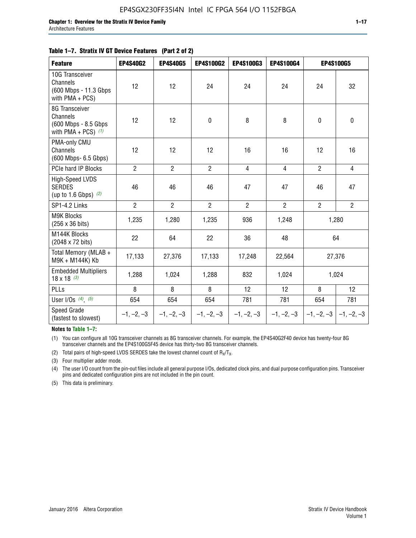| <b>Feature</b>                                                              | <b>EP4S40G2</b> | <b>EP4S40G5</b> | <b>EP4S100G2</b> | <b>EP4S100G3</b> | <b>EP4S100G4</b> |                           | <b>EP4S100G5</b> |
|-----------------------------------------------------------------------------|-----------------|-----------------|------------------|------------------|------------------|---------------------------|------------------|
| 10G Transceiver<br>Channels<br>(600 Mbps - 11.3 Gbps<br>with $PMA + PCS$ )  | 12              | 12              | 24               | 24               | 24               | 24                        | 32               |
| 8G Transceiver<br>Channels<br>(600 Mbps - 8.5 Gbps<br>with PMA + PCS) $(1)$ | 12              | 12              | $\pmb{0}$        | 8                | 8                | $\mathbf 0$               | $\pmb{0}$        |
| PMA-only CMU<br>Channels<br>(600 Mbps- 6.5 Gbps)                            | 12              | 12              | 12               | 16               | 16               | 12                        | 16               |
| PCIe hard IP Blocks                                                         | $\overline{2}$  | $\overline{2}$  | $\overline{2}$   | $\overline{4}$   | $\overline{4}$   | $\overline{2}$            | $\overline{4}$   |
| High-Speed LVDS<br><b>SERDES</b><br>(up to 1.6 Gbps) $(2)$                  | 46              | 46              | 46               | 47               | 47               | 46                        | 47               |
| SP1-4.2 Links                                                               | $\overline{2}$  | $\overline{2}$  | $\overline{2}$   | $\overline{2}$   | $\overline{2}$   | $\overline{2}$            | $\overline{2}$   |
| <b>M9K Blocks</b><br>(256 x 36 bits)                                        | 1,235           | 1,280           | 1,235            | 936              | 1,248            |                           | 1,280            |
| M144K Blocks<br>(2048 x 72 bits)                                            | 22              | 64              | 22               | 36               | 48               |                           | 64               |
| Total Memory (MLAB +<br>M9K + M144K) Kb                                     | 17,133          | 27,376          | 17,133           | 17,248           | 22,564           |                           | 27,376           |
| <b>Embedded Multipliers</b><br>$18 \times 18^{(3)}$                         | 1,288           | 1,024           | 1,288            | 832              | 1,024            |                           | 1,024            |
| <b>PLLs</b>                                                                 | 8               | 8               | 8                | 12               | 12               | 8                         | 12               |
| User I/Os $(4)$ , $(5)$                                                     | 654             | 654             | 654              | 781              | 781              | 654                       | 781              |
| Speed Grade<br>(fastest to slowest)                                         | $-1, -2, -3$    | $-1, -2, -3$    | $-1, -2, -3$     | $-1, -2, -3$     | $-1, -2, -3$     | $-1, -2, -3$ $-1, -2, -3$ |                  |

**Notes to Table 1–7:**

(1) You can configure all 10G transceiver channels as 8G transceiver channels. For example, the EP4S40G2F40 device has twenty-four 8G transceiver channels and the EP4S100G5F45 device has thirty-two 8G transceiver channels.

(2) Total pairs of high-speed LVDS SERDES take the lowest channel count of  $R_X/T_X$ .

(3) Four multiplier adder mode.

(4) The user I/O count from the pin-out files include all general purpose I/Os, dedicated clock pins, and dual purpose configuration pins. Transceiver pins and dedicated configuration pins are not included in the pin count.

(5) This data is preliminary.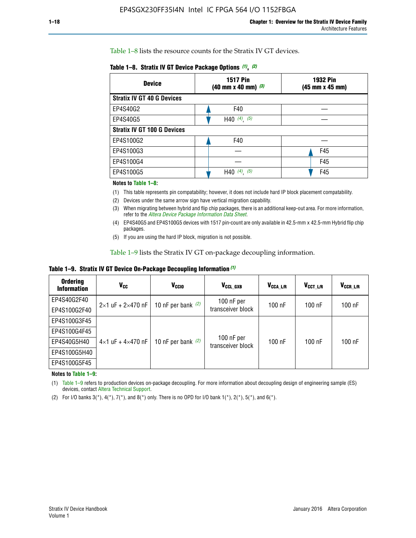Table 1–8 lists the resource counts for the Stratix IV GT devices.

| <b>Device</b>                      | <b>1517 Pin</b><br>$(40 \text{ mm} \times 40 \text{ mm})$ $(3)$ | <b>1932 Pin</b><br>(45 mm x 45 mm) |  |
|------------------------------------|-----------------------------------------------------------------|------------------------------------|--|
| <b>Stratix IV GT 40 G Devices</b>  |                                                                 |                                    |  |
| EP4S40G2                           | F40                                                             |                                    |  |
| EP4S40G5                           | H40 $(4)$ , $(5)$                                               |                                    |  |
| <b>Stratix IV GT 100 G Devices</b> |                                                                 |                                    |  |
| EP4S100G2                          | F40                                                             |                                    |  |
| EP4S100G3                          |                                                                 | F45                                |  |
| EP4S100G4                          |                                                                 | F45                                |  |
| EP4S100G5                          | $(4)$ , $(5)$<br>H40                                            | F45                                |  |

#### **Notes to Table 1–8:**

(1) This table represents pin compatability; however, it does not include hard IP block placement compatability.

- (2) Devices under the same arrow sign have vertical migration capability.
- (3) When migrating between hybrid and flip chip packages, there is an additional keep-out area. For more information, refer to the *[Altera Device Package Information Data Sheet](http://www.altera.com/literature/ds/dspkg.pdf)*.
- (4) EP4S40G5 and EP4S100G5 devices with 1517 pin-count are only available in 42.5-mm x 42.5-mm Hybrid flip chip packages.
- (5) If you are using the hard IP block, migration is not possible.

Table 1–9 lists the Stratix IV GT on-package decoupling information.

**Table 1–9. Stratix IV GT Device On-Package Decoupling Information** *(1)*

| <b>Ordering</b><br><b>Information</b> | Vcc                                 | <b>V<sub>CCIO</sub></b> | V <sub>CCL GXB</sub>            | V <sub>CCA L/R</sub> | V <sub>CCT L/R</sub> | $V_{CCR\_L/R}$ |
|---------------------------------------|-------------------------------------|-------------------------|---------------------------------|----------------------|----------------------|----------------|
| EP4S40G2F40                           | $2 \times 1$ uF + $2 \times 470$ nF | 10 nF per bank $(2)$    | 100 nF per<br>transceiver block | $100$ nF             | $100$ nF             | $100$ nF       |
| EP4S100G2F40                          |                                     |                         |                                 |                      |                      |                |
| EP4S100G3F45                          |                                     | 10 nF per bank $(2)$    | 100 nF per<br>transceiver block | $100$ nF             | $100$ nF             | $100$ nF       |
| EP4S100G4F45                          |                                     |                         |                                 |                      |                      |                |
| EP4S40G5H40                           | $4\times1$ uF + $4\times470$ nF     |                         |                                 |                      |                      |                |
| EP4S100G5H40                          |                                     |                         |                                 |                      |                      |                |
| EP4S100G5F45                          |                                     |                         |                                 |                      |                      |                |

**Notes to Table 1–9:**

(1) Table 1–9 refers to production devices on-package decoupling. For more information about decoupling design of engineering sample (ES) devices, contact [Altera Technical Support](http://mysupport.altera.com/eservice/login.asp).

(2) For I/O banks  $3(*)$ ,  $4(*)$ ,  $7(*)$ , and  $8(*)$  only. There is no OPD for I/O bank  $1(*)$ ,  $2(*)$ ,  $5(*)$ , and  $6(*)$ .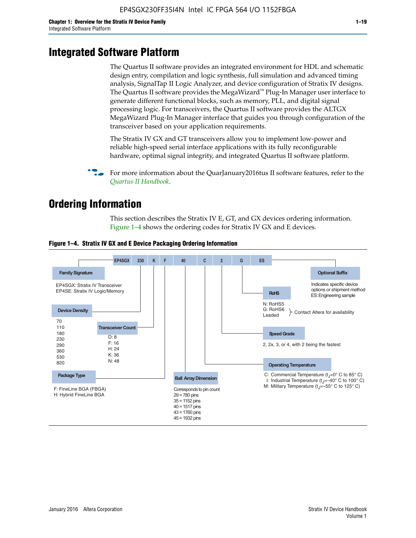# **Integrated Software Platform**

The Quartus II software provides an integrated environment for HDL and schematic design entry, compilation and logic synthesis, full simulation and advanced timing analysis, SignalTap II Logic Analyzer, and device configuration of Stratix IV designs. The Quartus II software provides the MegaWizard<sup> $M$ </sup> Plug-In Manager user interface to generate different functional blocks, such as memory, PLL, and digital signal processing logic. For transceivers, the Quartus II software provides the ALTGX MegaWizard Plug-In Manager interface that guides you through configuration of the transceiver based on your application requirements.

The Stratix IV GX and GT transceivers allow you to implement low-power and reliable high-speed serial interface applications with its fully reconfigurable hardware, optimal signal integrity, and integrated Quartus II software platform.

For more information about the QuarJanuary2016tus II software features, refer to the *[Quartus II Handbook](http://www.altera.com/literature/lit-qts.jsp)*.

# **Ordering Information**

This section describes the Stratix IV E, GT, and GX devices ordering information. Figure 1–4 shows the ordering codes for Stratix IV GX and E devices.



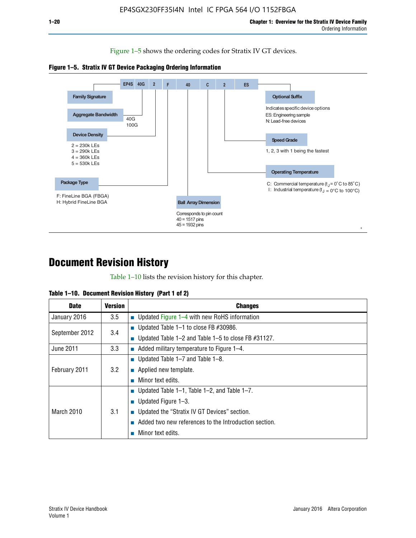Figure 1–5 shows the ordering codes for Stratix IV GT devices.





# **Document Revision History**

Table 1–10 lists the revision history for this chapter.

| Table 1–10. Document Revision History (Part 1 of 2) |  |  |  |  |  |
|-----------------------------------------------------|--|--|--|--|--|
|-----------------------------------------------------|--|--|--|--|--|

| <b>Date</b>       | Version | <b>Changes</b>                                         |
|-------------------|---------|--------------------------------------------------------|
| January 2016      | $3.5\,$ | <b>Updated Figure 1–4 with new RoHS information</b>    |
| September 2012    | 3.4     | ■ Updated Table 1–1 to close FB $#30986$ .             |
|                   |         | Updated Table 1–2 and Table 1–5 to close FB $#31127$ . |
| June 2011         | 3.3     | Added military temperature to Figure 1–4.              |
| February 2011     | 3.2     | ■ Updated Table 1–7 and Table 1–8.                     |
|                   |         | $\blacksquare$ Applied new template.                   |
|                   |         | Minor text edits.                                      |
| <b>March 2010</b> |         | <b>Updated Table 1–1, Table 1–2, and Table 1–7.</b>    |
|                   | 3.1     | ■ Updated Figure $1-3$ .                               |
|                   |         | ■ Updated the "Stratix IV GT Devices" section.         |
|                   |         | Added two new references to the Introduction section.  |
|                   |         | Minor text edits.                                      |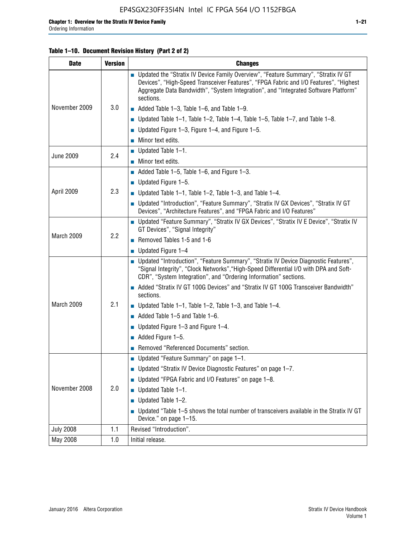#### **Table 1–10. Document Revision History (Part 2 of 2)**

| <b>Date</b>      | <b>Version</b> | <b>Changes</b>                                                                                                                                                                                                                                                                    |  |  |
|------------------|----------------|-----------------------------------------------------------------------------------------------------------------------------------------------------------------------------------------------------------------------------------------------------------------------------------|--|--|
|                  |                | ■ Updated the "Stratix IV Device Family Overview", "Feature Summary", "Stratix IV GT<br>Devices", "High-Speed Transceiver Features", "FPGA Fabric and I/O Features", "Highest<br>Aggregate Data Bandwidth", "System Integration", and "Integrated Software Platform"<br>sections. |  |  |
| November 2009    | 3.0            | $\blacksquare$ Added Table 1-3, Table 1-6, and Table 1-9.                                                                                                                                                                                                                         |  |  |
|                  |                | $\blacksquare$ Updated Table 1-1, Table 1-2, Table 1-4, Table 1-5, Table 1-7, and Table 1-8.                                                                                                                                                                                      |  |  |
|                  |                | ■ Updated Figure 1–3, Figure 1–4, and Figure 1–5.                                                                                                                                                                                                                                 |  |  |
|                  |                | $\blacksquare$ Minor text edits.                                                                                                                                                                                                                                                  |  |  |
| <b>June 2009</b> | 2.4            | $\blacksquare$ Updated Table 1-1.                                                                                                                                                                                                                                                 |  |  |
|                  |                | Minor text edits.                                                                                                                                                                                                                                                                 |  |  |
|                  |                | $\blacksquare$ Added Table 1–5, Table 1–6, and Figure 1–3.                                                                                                                                                                                                                        |  |  |
|                  |                | $\blacksquare$ Updated Figure 1-5.                                                                                                                                                                                                                                                |  |  |
| April 2009       | 2.3            | Updated Table $1-1$ , Table $1-2$ , Table $1-3$ , and Table $1-4$ .                                                                                                                                                                                                               |  |  |
|                  |                | ■ Updated "Introduction", "Feature Summary", "Stratix IV GX Devices", "Stratix IV GT<br>Devices", "Architecture Features", and "FPGA Fabric and I/O Features"                                                                                                                     |  |  |
|                  | 2.2            | ■ Updated "Feature Summary", "Stratix IV GX Devices", "Stratix IV E Device", "Stratix IV<br>GT Devices", "Signal Integrity"                                                                                                                                                       |  |  |
| March 2009       |                | Removed Tables 1-5 and 1-6                                                                                                                                                                                                                                                        |  |  |
|                  |                | Updated Figure 1-4                                                                                                                                                                                                                                                                |  |  |
|                  |                | ■ Updated "Introduction", "Feature Summary", "Stratix IV Device Diagnostic Features",<br>"Signal Integrity", "Clock Networks", "High-Speed Differential I/O with DPA and Soft-<br>CDR", "System Integration", and "Ordering Information" sections.                                |  |  |
|                  |                | Added "Stratix IV GT 100G Devices" and "Stratix IV GT 100G Transceiver Bandwidth"<br>sections.                                                                                                                                                                                    |  |  |
| March 2009       | 2.1            | <b>Updated Table 1–1, Table 1–2, Table 1–3, and Table 1–4.</b>                                                                                                                                                                                                                    |  |  |
|                  |                | $\blacksquare$ Added Table 1-5 and Table 1-6.                                                                                                                                                                                                                                     |  |  |
|                  |                | ■ Updated Figure $1-3$ and Figure $1-4$ .                                                                                                                                                                                                                                         |  |  |
|                  |                | $\blacksquare$ Added Figure 1-5.                                                                                                                                                                                                                                                  |  |  |
|                  |                | Removed "Referenced Documents" section.                                                                                                                                                                                                                                           |  |  |
|                  | 2.0            | Updated "Feature Summary" on page 1-1.                                                                                                                                                                                                                                            |  |  |
| November 2008    |                | ■ Updated "Stratix IV Device Diagnostic Features" on page 1-7.                                                                                                                                                                                                                    |  |  |
|                  |                | Updated "FPGA Fabric and I/O Features" on page 1-8.                                                                                                                                                                                                                               |  |  |
|                  |                | Updated Table 1-1.                                                                                                                                                                                                                                                                |  |  |
|                  |                | Updated Table 1-2.                                                                                                                                                                                                                                                                |  |  |
|                  |                | Updated "Table 1-5 shows the total number of transceivers available in the Stratix IV GT<br>Device." on page 1-15.                                                                                                                                                                |  |  |
| <b>July 2008</b> | 1.1            | Revised "Introduction".                                                                                                                                                                                                                                                           |  |  |
| May 2008         | 1.0            | Initial release.                                                                                                                                                                                                                                                                  |  |  |